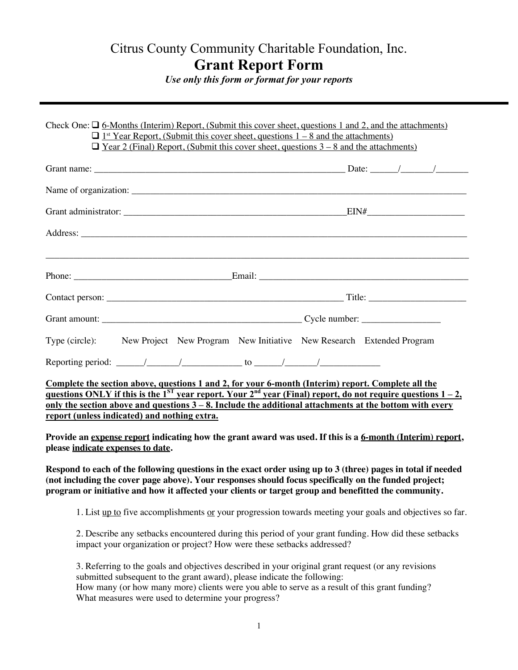## Citrus County Community Charitable Foundation, Inc. **Grant Report Form**

*Use only this form or format for your reports*

| Check One: $\Box$ 6-Months (Interim) Report, (Submit this cover sheet, questions 1 and 2, and the attachments)<br>$\Box$ 1 <sup>st</sup> Year Report, (Submit this cover sheet, questions 1 – 8 and the attachments)<br>$\Box$ Year 2 (Final) Report, (Submit this cover sheet, questions $3-8$ and the attachments) |  |
|----------------------------------------------------------------------------------------------------------------------------------------------------------------------------------------------------------------------------------------------------------------------------------------------------------------------|--|
|                                                                                                                                                                                                                                                                                                                      |  |
|                                                                                                                                                                                                                                                                                                                      |  |
|                                                                                                                                                                                                                                                                                                                      |  |
|                                                                                                                                                                                                                                                                                                                      |  |
| <u> 1999 - Jan Barbara, Amerikaansk politiker (d. 1989)</u>                                                                                                                                                                                                                                                          |  |
|                                                                                                                                                                                                                                                                                                                      |  |
|                                                                                                                                                                                                                                                                                                                      |  |
| Type (circle): New Project New Program New Initiative New Research Extended Program                                                                                                                                                                                                                                  |  |
|                                                                                                                                                                                                                                                                                                                      |  |
| Complete the section above, questions 1 and 2, for your 6-month (Interim) report. Complete all the<br><u>questions ONLY if this is the 1<sup>ST</sup> year report. Your 2<sup>nd</sup> year (Final) report, do not require questions 1 – 2,</u>                                                                      |  |

**questions ONLY if this is the**  $1^{ST}$  **year report. Your**  $2^{nd}$  **year (Final) report, do not require questions**  $1-2$ **, only the section above and questions 3 – 8. Include the additional attachments at the bottom with every report (unless indicated) and nothing extra.**

**Provide an expense report indicating how the grant award was used. If this is a 6-month (Interim) report, please indicate expenses to date.** 

**Respond to each of the following questions in the exact order using up to 3 (three) pages in total if needed (not including the cover page above). Your responses should focus specifically on the funded project; program or initiative and how it affected your clients or target group and benefitted the community.** 

1. List up to five accomplishments or your progression towards meeting your goals and objectives so far.

2. Describe any setbacks encountered during this period of your grant funding. How did these setbacks impact your organization or project? How were these setbacks addressed?

3. Referring to the goals and objectives described in your original grant request (or any revisions submitted subsequent to the grant award), please indicate the following: How many (or how many more) clients were you able to serve as a result of this grant funding? What measures were used to determine your progress?